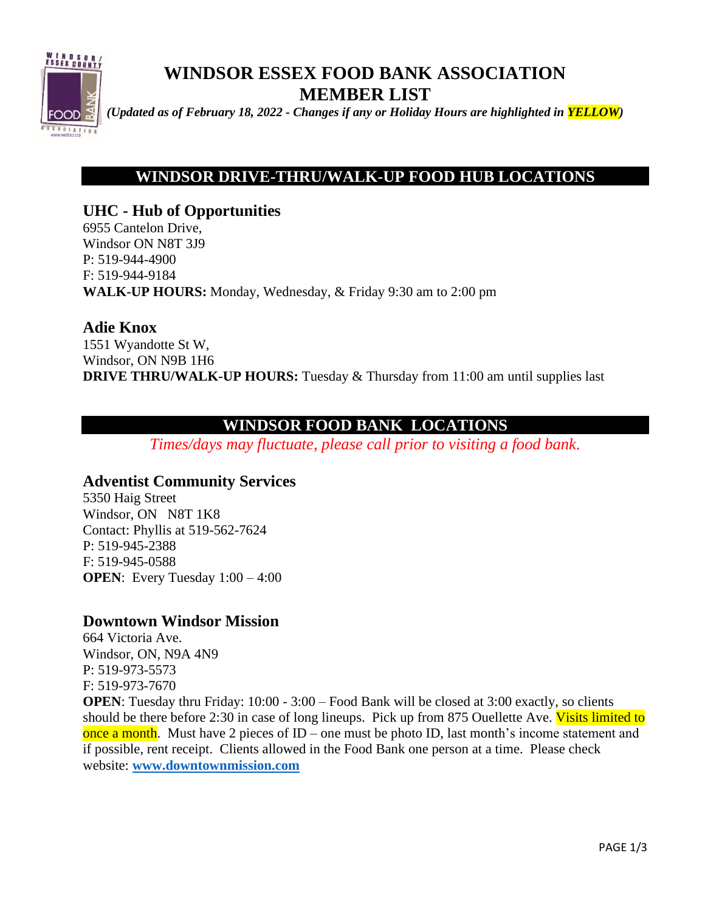

# **WINDSOR ESSEX FOOD BANK ASSOCIATION MEMBER LIST**

*(Updated as of February 18, 2022 - Changes if any or Holiday Hours are highlighted in YELLOW)*

# **WINDSOR DRIVE-THRU/WALK-UP FOOD HUB LOCATIONS**

**UHC - Hub of Opportunities** 6955 Cantelon Drive, Windsor ON N8T 3J9 P: 519-944-4900 F: 519-944-9184 **WALK-UP HOURS:** Monday, Wednesday, & Friday 9:30 am to 2:00 pm

### **Adie Knox**

1551 Wyandotte St W, Windsor, ON N9B 1H6 **DRIVE THRU/WALK-UP HOURS:** Tuesday & Thursday from 11:00 am until supplies last

# **WINDSOR FOOD BANK LOCATIONS**

*Times/days may fluctuate, please call prior to visiting a food bank.*

### **Adventist Community Services**

5350 Haig Street Windsor, ON N8T 1K8 Contact: Phyllis at 519-562-7624 P: 519-945-2388 F: 519-945-0588 **OPEN**: Every Tuesday  $1:00 - 4:00$ 

### **Downtown Windsor Mission**

664 Victoria Ave. Windsor, ON, N9A 4N9 P: 519-973-5573 F: 519-973-7670

**OPEN**: Tuesday thru Friday: 10:00 - 3:00 – Food Bank will be closed at 3:00 exactly, so clients should be there before 2:30 in case of long lineups. Pick up from 875 Ouellette Ave. Visits limited to once a month. Must have 2 pieces of  $ID$  – one must be photo ID, last month's income statement and if possible, rent receipt. Clients allowed in the Food Bank one person at a time. Please check website: **[www.downtownmission.com](http://www.downtownmission.com/)**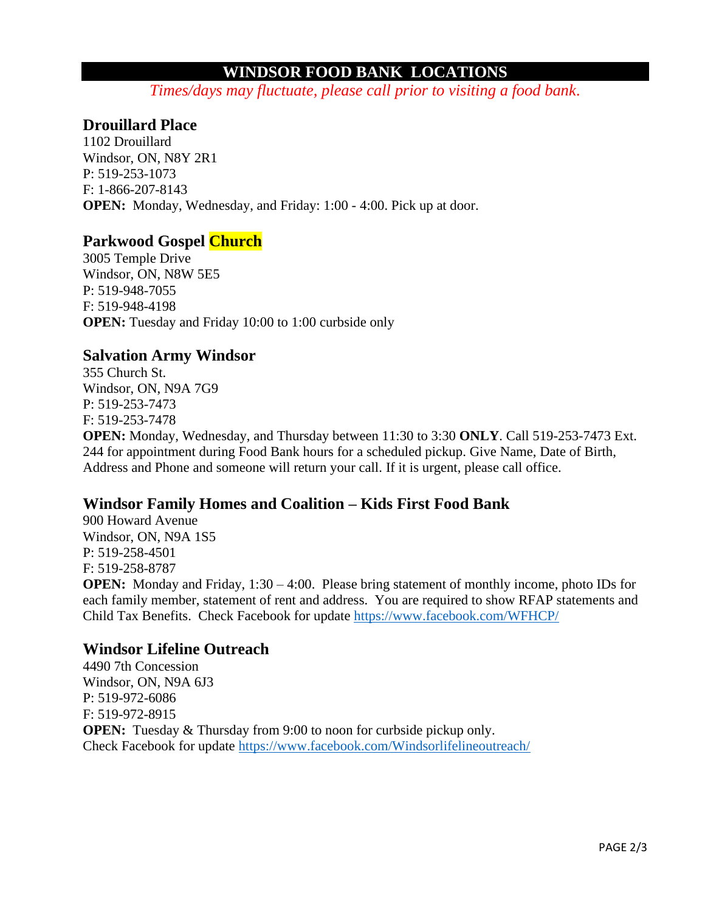# **WINDSOR FOOD BANK LOCATIONS**

*Times/days may fluctuate, please call prior to visiting a food bank.*

## **Drouillard Place**

1102 Drouillard Windsor, ON, N8Y 2R1 P: 519-253-1073 F: 1-866-207-8143 **OPEN:** Monday, Wednesday, and Friday: 1:00 - 4:00. Pick up at door.

### **Parkwood Gospel Church**

3005 Temple Drive Windsor, ON, N8W 5E5 P: 519-948-7055 F: 519-948-4198 **OPEN:** Tuesday and Friday 10:00 to 1:00 curbside only

### **Salvation Army Windsor**

355 Church St. Windsor, ON, N9A 7G9 P: 519-253-7473 F: 519-253-7478

**OPEN:** Monday, Wednesday, and Thursday between 11:30 to 3:30 **ONLY**. Call 519-253-7473 Ext. 244 for appointment during Food Bank hours for a scheduled pickup. Give Name, Date of Birth, Address and Phone and someone will return your call. If it is urgent, please call office.

### **Windsor Family Homes and Coalition – Kids First Food Bank**

900 Howard Avenue Windsor, ON, N9A 1S5 P: 519-258-4501 F: 519-258-8787

**OPEN:** Monday and Friday, 1:30 – 4:00. Please bring statement of monthly income, photo IDs for each family member, statement of rent and address. You are required to show RFAP statements and Child Tax Benefits. Check Facebook for update<https://www.facebook.com/WFHCP/>

### **Windsor Lifeline Outreach**

4490 7th Concession Windsor, ON, N9A 6J3 P: 519-972-6086 F: 519-972-8915 **OPEN:** Tuesday & Thursday from 9:00 to noon for curbside pickup only. Check Facebook for update<https://www.facebook.com/Windsorlifelineoutreach/>